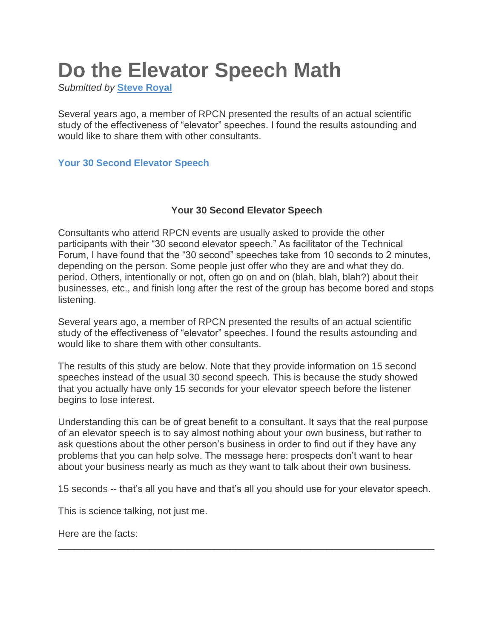# **Do the Elevator Speech Math**

*Submitted by* **[Steve Royal](https://rochesterconsultants.org/Sys/PublicProfile/2348357/576739)**

Several years ago, a member of RPCN presented the results of an actual scientific study of the effectiveness of "elevator" speeches. I found the results astounding and would like to share them with other consultants.

#### **[Your 30 Second Elevator Speech](https://rochesterconsultants.org/sales_marketing/1050499)**

#### **Your 30 Second Elevator Speech**

Consultants who attend RPCN events are usually asked to provide the other participants with their "30 second elevator speech." As facilitator of the Technical Forum, I have found that the "30 second" speeches take from 10 seconds to 2 minutes, depending on the person. Some people just offer who they are and what they do. period. Others, intentionally or not, often go on and on (blah, blah, blah?) about their businesses, etc., and finish long after the rest of the group has become bored and stops listening.

Several years ago, a member of RPCN presented the results of an actual scientific study of the effectiveness of "elevator" speeches. I found the results astounding and would like to share them with other consultants.

The results of this study are below. Note that they provide information on 15 second speeches instead of the usual 30 second speech. This is because the study showed that you actually have only 15 seconds for your elevator speech before the listener begins to lose interest.

Understanding this can be of great benefit to a consultant. It says that the real purpose of an elevator speech is to say almost nothing about your own business, but rather to ask questions about the other person's business in order to find out if they have any problems that you can help solve. The message here: prospects don't want to hear about your business nearly as much as they want to talk about their own business.

15 seconds -- that's all you have and that's all you should use for your elevator speech.

\_\_\_\_\_\_\_\_\_\_\_\_\_\_\_\_\_\_\_\_\_\_\_\_\_\_\_\_\_\_\_\_\_\_\_\_\_\_\_\_\_\_\_\_\_\_\_\_\_\_\_\_\_\_\_\_\_\_\_\_\_\_\_\_\_\_\_\_\_\_

This is science talking, not just me.

Here are the facts: